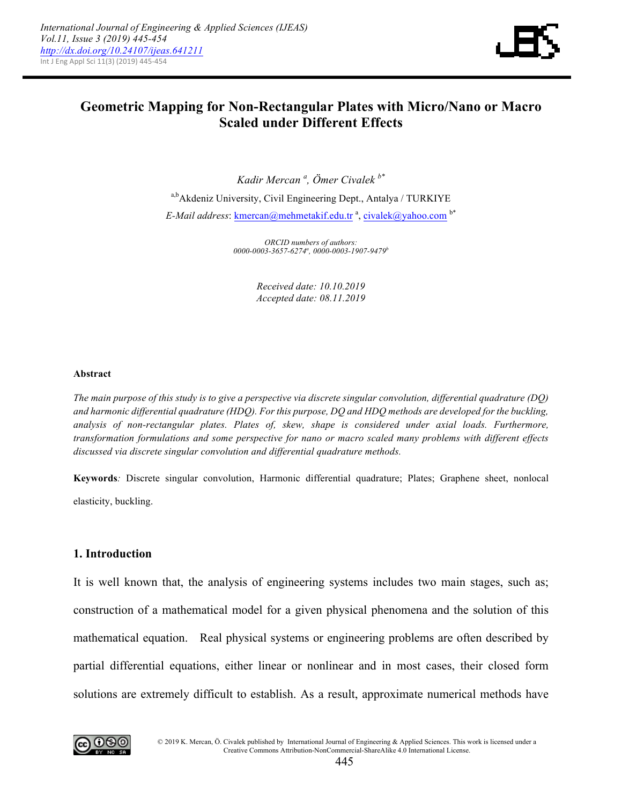

# **Geometric Mapping for Non-Rectangular Plates with Micro/Nano or Macro Scaled under Different Effects**

*Kadir Mercan <sup>a</sup> , Ömer Civalek b\**

a,b Akdeniz University, Civil Engineering Dept., Antalya / TURKIYE E-Mail address: <u>kmercan@mehmetakif.edu.tr</u> <sup>a</sup>, civalek@yahoo.com <sup>b\*</sup>

> *ORCID numbers of authors: 0000-0003-3657-6274<sup>a</sup> , 0000-0003-1907-9479<sup>b</sup>*

> > *Received date: 10.10.2019 Accepted date: 08.11.2019*

#### **Abstract**

*The main purpose of this study is to give a perspective via discrete singular convolution, differential quadrature (DQ) and harmonic differential quadrature (HDQ). For this purpose, DQ and HDQ methods are developed for the buckling, analysis of non-rectangular plates. Plates of, skew, shape is considered under axial loads. Furthermore, transformation formulations and some perspective for nano or macro scaled many problems with different effects discussed via discrete singular convolution and differential quadrature methods.*

**Keywords***:* Discrete singular convolution, Harmonic differential quadrature; Plates; Graphene sheet, nonlocal elasticity, buckling.

#### **1. Introduction**

It is well known that, the analysis of engineering systems includes two main stages, such as; construction of a mathematical model for a given physical phenomena and the solution of this mathematical equation. Real physical systems or engineering problems are often described by partial differential equations, either linear or nonlinear and in most cases, their closed form solutions are extremely difficult to establish. As a result, approximate numerical methods have

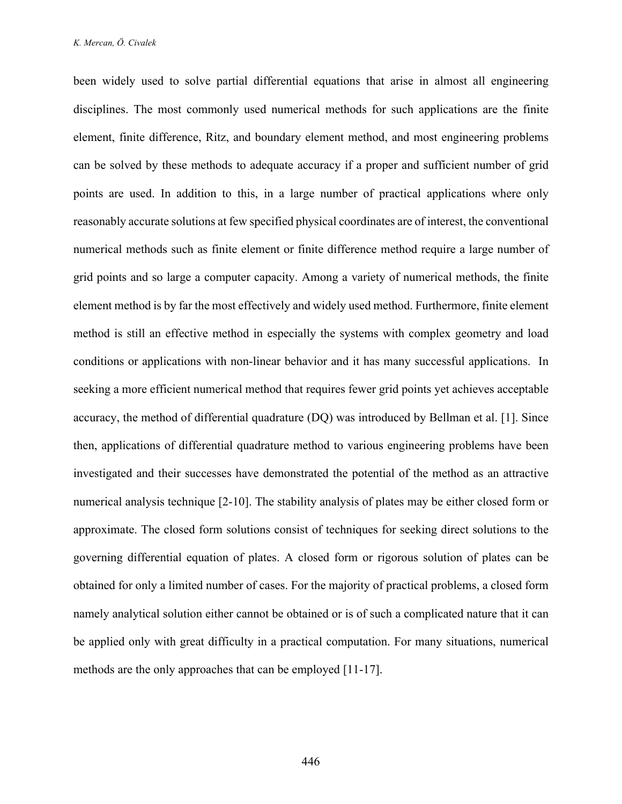been widely used to solve partial differential equations that arise in almost all engineering disciplines. The most commonly used numerical methods for such applications are the finite element, finite difference, Ritz, and boundary element method, and most engineering problems can be solved by these methods to adequate accuracy if a proper and sufficient number of grid points are used. In addition to this, in a large number of practical applications where only reasonably accurate solutions at few specified physical coordinates are of interest, the conventional numerical methods such as finite element or finite difference method require a large number of grid points and so large a computer capacity. Among a variety of numerical methods, the finite element method is by far the most effectively and widely used method. Furthermore, finite element method is still an effective method in especially the systems with complex geometry and load conditions or applications with non-linear behavior and it has many successful applications. In seeking a more efficient numerical method that requires fewer grid points yet achieves acceptable accuracy, the method of differential quadrature (DQ) was introduced by Bellman et al. [1]. Since then, applications of differential quadrature method to various engineering problems have been investigated and their successes have demonstrated the potential of the method as an attractive numerical analysis technique [2-10]. The stability analysis of plates may be either closed form or approximate. The closed form solutions consist of techniques for seeking direct solutions to the governing differential equation of plates. A closed form or rigorous solution of plates can be obtained for only a limited number of cases. For the majority of practical problems, a closed form namely analytical solution either cannot be obtained or is of such a complicated nature that it can be applied only with great difficulty in a practical computation. For many situations, numerical methods are the only approaches that can be employed [11-17].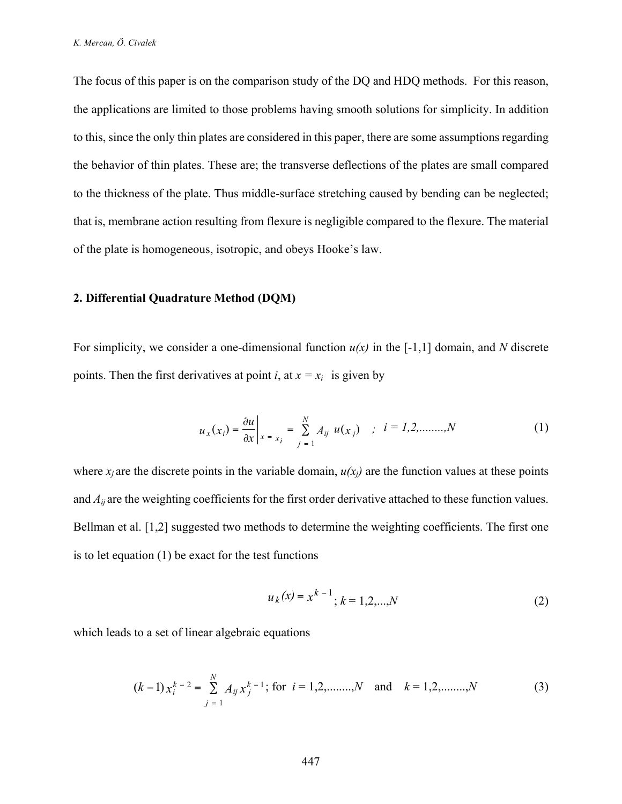The focus of this paper is on the comparison study of the DQ and HDQ methods. For this reason, the applications are limited to those problems having smooth solutions for simplicity. In addition to this, since the only thin plates are considered in this paper, there are some assumptions regarding the behavior of thin plates. These are; the transverse deflections of the plates are small compared to the thickness of the plate. Thus middle-surface stretching caused by bending can be neglected; that is, membrane action resulting from flexure is negligible compared to the flexure. The material of the plate is homogeneous, isotropic, and obeys Hooke's law.

#### **2. Differential Quadrature Method (DQM)**

For simplicity, we consider a one-dimensional function *u(x)* in the [-1,1] domain, and *N* discrete points. Then the first derivatives at point *i*, at  $x = x_i$  is given by

$$
u_x(x_i) = \frac{\partial u}{\partial x}\bigg|_{x = x_i} = \sum_{j=1}^N A_{ij} u(x_j) \quad ; \quad i = 1, 2, \dots, N
$$
 (1)

where  $x_i$  are the discrete points in the variable domain,  $u(x_i)$  are the function values at these points and  $A_{ij}$  are the weighting coefficients for the first order derivative attached to these function values. Bellman et al. [1,2] suggested two methods to determine the weighting coefficients. The first one is to let equation (1) be exact for the test functions

$$
u_k(x) = x^{k-1}; k = 1, 2, \dots, N
$$
 (2)

which leads to a set of linear algebraic equations

$$
(k-1)x_i^{k-2} = \sum_{j=1}^N A_{ij} x_j^{k-1}; \text{ for } i = 1, 2, \dots, N \text{ and } k = 1, 2, \dots, N
$$
 (3)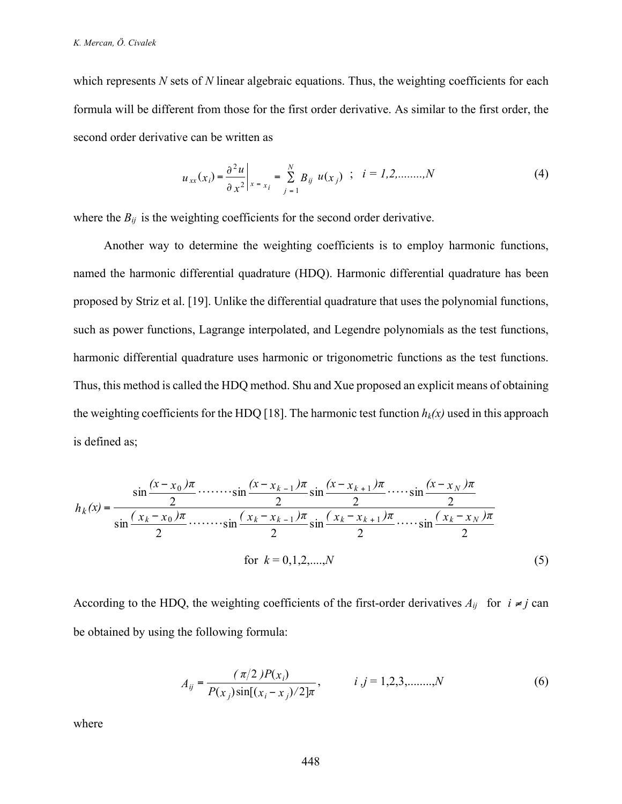which represents *N* sets of *N* linear algebraic equations. Thus, the weighting coefficients for each formula will be different from those for the first order derivative. As similar to the first order, the second order derivative can be written as

$$
u_{xx}(x_i) = \frac{\partial^2 u}{\partial x^2}\bigg|_{x = x_i} = \sum_{j=1}^N B_{ij} u(x_j) \quad ; \quad i = 1, 2, \dots, N
$$
 (4)

where the  $B_{ij}$  is the weighting coefficients for the second order derivative.

 Another way to determine the weighting coefficients is to employ harmonic functions, named the harmonic differential quadrature (HDQ). Harmonic differential quadrature has been proposed by Striz et al. [19]. Unlike the differential quadrature that uses the polynomial functions, such as power functions, Lagrange interpolated, and Legendre polynomials as the test functions, harmonic differential quadrature uses harmonic or trigonometric functions as the test functions. Thus, this method is called the HDQ method. Shu and Xue proposed an explicit means of obtaining the weighting coefficients for the HDQ [18]. The harmonic test function  $h_k(x)$  used in this approach is defined as;

$$
h_k(x) = \frac{\sin\frac{(x - x_0)\pi}{2} \cdot \dots \cdot \cdot \sin\frac{(x - x_{k-1})\pi}{2} \cdot \sin\frac{(x - x_{k+1})\pi}{2} \cdot \dots \cdot \cdot \sin\frac{(x - x_N)\pi}{2}}{\sin\frac{(x_k - x_0)\pi}{2} \cdot \dots \cdot \cdot \sin\frac{(x_k - x_{k-1})\pi}{2} \cdot \sin\frac{(x_k - x_{k+1})\pi}{2} \cdot \dots \cdot \sin\frac{(x_k - x_N)\pi}{2}}
$$
\nfor  $k = 0, 1, 2, ..., N$  (5)

According to the HDQ, the weighting coefficients of the first-order derivatives  $A_{ij}$  for  $i \neq j$  can be obtained by using the following formula:

$$
A_{ij} = \frac{(\pi/2)P(x_i)}{P(x_j)\sin[(x_i - x_j)/2]\pi}, \qquad i,j = 1,2,3,\dots, N
$$
 (6)

where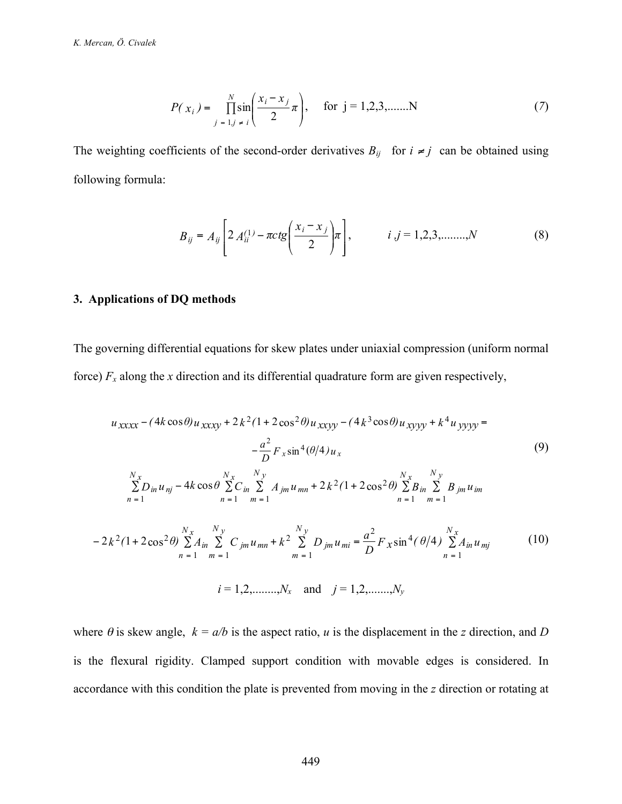$$
P(x_i) = \prod_{j=1, j \neq i}^{N} \left( \frac{x_i - x_j}{2} \pi \right), \quad \text{for } j = 1, 2, 3, \dots N \tag{7}
$$

The weighting coefficients of the second-order derivatives  $B_{ij}$  for  $i \neq j$  can be obtained using following formula:

$$
B_{ij} = A_{ij} \left[ 2 A_{ii}^{(1)} - \pi c t g \left( \frac{x_i - x_j}{2} \right) \pi \right], \qquad i, j = 1, 2, 3, \dots, N \qquad (8)
$$

### **3. Applications of DQ methods**

The governing differential equations for skew plates under uniaxial compression (uniform normal force)  $F_x$  along the *x* direction and its differential quadrature form are given respectively,

$$
u_{xxxx} - (4k \cos \theta) u_{xxxy} + 2k^2 (1 + 2 \cos^2 \theta) u_{xxyy} - (4k^3 \cos \theta) u_{xyyy} + k^4 u_{yyyy} =
$$
  
\n
$$
- \frac{a^2}{D} F_x \sin^4 (\theta/4) u_x
$$
  
\n
$$
\sum_{n=1}^{N_x} D_{in} u_{nj} - 4k \cos \theta \sum_{n=1}^{N_x} C_{in} \sum_{m=1}^{N_y} A_{jm} u_{mn} + 2k^2 (1 + 2 \cos^2 \theta) \sum_{n=1}^{N_x} B_{in} \sum_{m=1}^{N_y} B_{jm} u_{im}
$$
  
\n
$$
- 2k^2 (1 + 2 \cos^2 \theta) \sum_{n=1}^{N_x} A_{in} \sum_{m=1}^{N_y} C_{jm} u_{mn} + k^2 \sum_{m=1}^{N_y} D_{jm} u_{mi} = \frac{a^2}{D} F_x \sin^4 (\theta/4) \sum_{n=1}^{N_x} A_{in} u_{mj}
$$
  
\n $i = 1, 2, \dots, N_x$  and  $j = 1, 2, \dots, N_y$  (10)

where  $\theta$  is skew angle,  $k = a/b$  is the aspect ratio, *u* is the displacement in the *z* direction, and *D* is the flexural rigidity. Clamped support condition with movable edges is considered. In accordance with this condition the plate is prevented from moving in the *z* direction or rotating at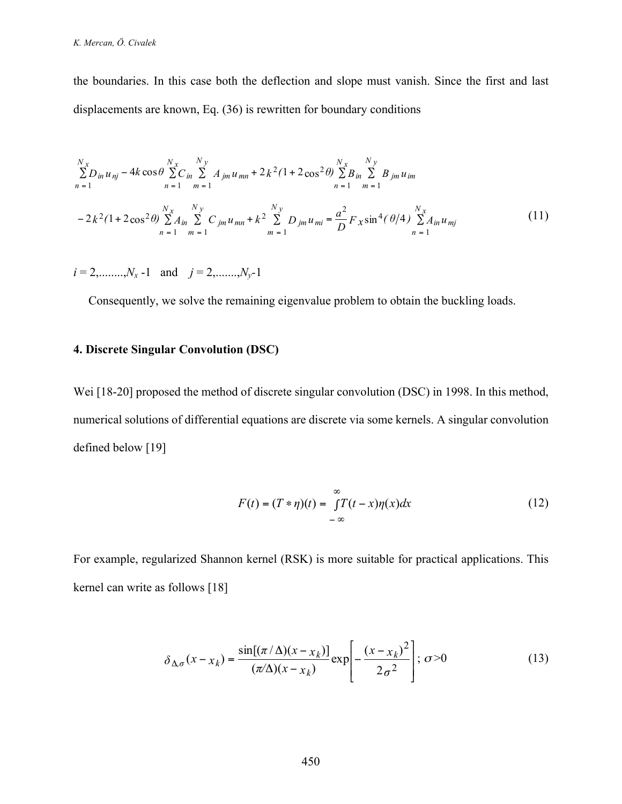the boundaries. In this case both the deflection and slope must vanish. Since the first and last displacements are known, Eq. (36) is rewritten for boundary conditions

$$
\sum_{n=1}^{N_X} D_{in} u_{nj} - 4k \cos \theta \sum_{n=1}^{N_X} C_{in} \sum_{m=1}^{N_y} A_{jm} u_{mn} + 2k^2 (1 + 2 \cos^2 \theta) \sum_{n=1}^{N_X} B_{in} \sum_{m=1}^{N_y} B_{jm} u_{im}
$$
  

$$
- 2k^2 (1 + 2 \cos^2 \theta) \sum_{n=1}^{N_X} A_{in} \sum_{m=1}^{N_y} C_{jm} u_{mn} + k^2 \sum_{m=1}^{N_y} D_{jm} u_{mi} = \frac{a^2}{D} F_X \sin^4 (\theta/4) \sum_{n=1}^{N_x} A_{in} u_{mj}
$$
(11)

 $i = 2, \dots, N_x - 1$  and  $j = 2, \dots, N_y - 1$ 

Consequently, we solve the remaining eigenvalue problem to obtain the buckling loads.

## **4. Discrete Singular Convolution (DSC)**

Wei [18-20] proposed the method of discrete singular convolution (DSC) in 1998. In this method, numerical solutions of differential equations are discrete via some kernels. A singular convolution defined below [19]

$$
F(t) = (T * \eta)(t) = \int_{-\infty}^{\infty} T(t - x)\eta(x)dx
$$
\n(12)

For example, regularized Shannon kernel (RSK) is more suitable for practical applications. This kernel can write as follows [18]

$$
\delta_{\Delta,\sigma}(x - x_k) = \frac{\sin[(\pi/\Delta)(x - x_k)]}{(\pi/\Delta)(x - x_k)} \exp\left[-\frac{(x - x_k)^2}{2\sigma^2}\right]; \sigma > 0 \tag{13}
$$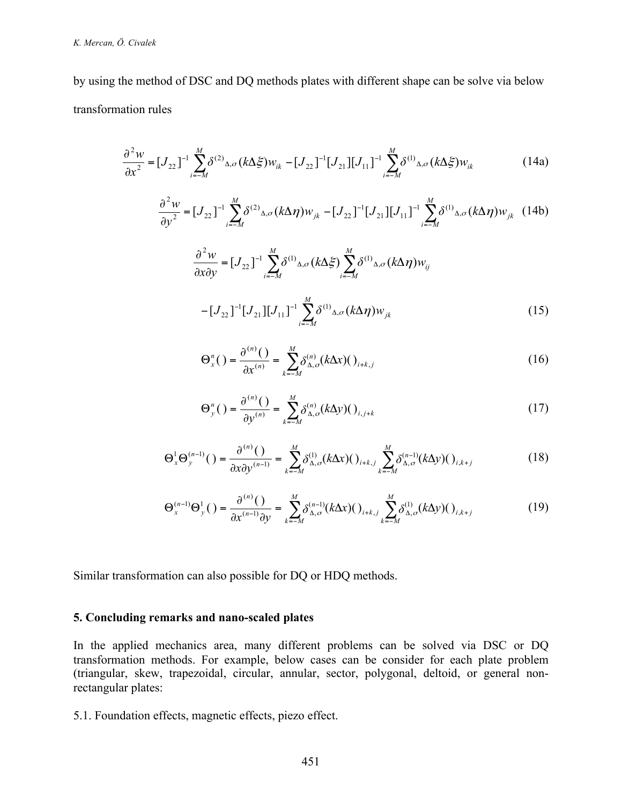by using the method of DSC and DQ methods plates with different shape can be solve via below transformation rules

$$
\frac{\partial^2 w}{\partial x^2} = [J_{22}]^{-1} \sum_{i=-M}^{M} \delta^{(2)} \Delta_{i,\sigma} (k \Delta \xi) w_{ik} - [J_{22}]^{-1} [J_{21}] [J_{11}]^{-1} \sum_{i=-M}^{M} \delta^{(1)} \Delta_{i,\sigma} (k \Delta \xi) w_{ik}
$$
(14a)

$$
\frac{\partial^2 w}{\partial y^2} = [J_{22}]^{-1} \sum_{i=-M}^{M} \delta^{(2)} \Delta_{i,\sigma} (k\Delta \eta) w_{jk} - [J_{22}]^{-1} [J_{21}] [J_{11}]^{-1} \sum_{i=-M}^{M} \delta^{(1)} \Delta_{i,\sigma} (k\Delta \eta) w_{jk}
$$
(14b)

$$
\frac{\partial^2 w}{\partial x \partial y} = [J_{22}]^{-1} \sum_{i=-M}^{M} \delta^{(1)} \Delta_{i,\sigma} (k \Delta \xi) \sum_{i=-M}^{M} \delta^{(1)} \Delta_{i,\sigma} (k \Delta \eta) w_{ij}
$$

$$
- [J_{22}]^{-1} [J_{21}] [J_{11}]^{-1} \sum_{i=-M}^{M} \delta^{(1)} \Delta_{i,\sigma} (k \Delta \eta) w_{jk}
$$
(15)

$$
\Theta_x^n\left(\right) = \frac{\partial^{(n)}\left(\right)}{\partial x^{(n)}} = \sum_{k=-M}^{M} \delta_{\Delta,\sigma}^{(n)}(k\Delta x)\left(\right)_{i+k,j} \tag{16}
$$

$$
\Theta_{y}^{n}\left(\right) = \frac{\partial^{(n)}\left(\right)}{\partial y^{(n)}} = \sum_{k=-M}^{M} \delta_{\Delta,\sigma}^{(n)}(k\Delta y)\left(\right)_{i,j+k} \tag{17}
$$

$$
\Theta_{x}^{1}\Theta_{y}^{(n-1)}(t) = \frac{\partial^{(n)}(t)}{\partial x \partial y^{(n-1)}} = \sum_{k=-M}^{M} \delta_{\Delta,\sigma}^{(1)}(k\Delta x)(t)_{i+k,j} \sum_{k=-M}^{M} \delta_{\Delta,\sigma}^{(n-1)}(k\Delta y)(t)_{i,k+j}
$$
(18)

$$
\Theta_{x}^{(n-1)}\Theta_{y}^{1}() = \frac{\partial^{(n)}(t)}{\partial x^{(n-1)}\partial y} = \sum_{k=-M}^{M} \delta_{\Delta,\sigma}^{(n-1)}(k\Delta x)(t)_{i+k,j} \sum_{k=-M}^{M} \delta_{\Delta,\sigma}^{(1)}(k\Delta y)(t)_{i,k+j}
$$
(19)

Similar transformation can also possible for DQ or HDQ methods.

### **5. Concluding remarks and nano-scaled plates**

In the applied mechanics area, many different problems can be solved via DSC or DQ transformation methods. For example, below cases can be consider for each plate problem (triangular, skew, trapezoidal, circular, annular, sector, polygonal, deltoid, or general nonrectangular plates:

5.1. Foundation effects, magnetic effects, piezo effect.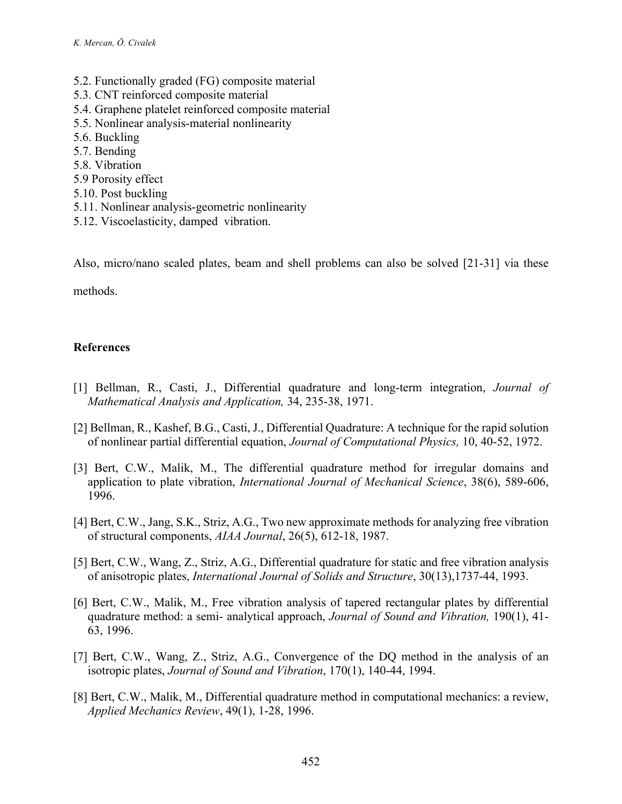- 5.2. Functionally graded (FG) composite material
- 5.3. CNT reinforced composite material
- 5.4. Graphene platelet reinforced composite material
- 5.5. Nonlinear analysis-material nonlinearity
- 5.6. Buckling
- 5.7. Bending
- 5.8. Vibration
- 5.9 Porosity effect
- 5.10. Post buckling
- 5.11. Nonlinear analysis-geometric nonlinearity
- 5.12. Viscoelasticity, damped vibration.

Also, micro/nano scaled plates, beam and shell problems can also be solved [21-31] via these

methods.

## **References**

- [1] Bellman, R., Casti, J., Differential quadrature and long-term integration, *Journal of Mathematical Analysis and Application,* 34, 235-38, 1971.
- [2] Bellman, R., Kashef, B.G., Casti, J., Differential Quadrature: A technique for the rapid solution of nonlinear partial differential equation, *Journal of Computational Physics,* 10, 40-52, 1972.
- [3] Bert, C.W., Malik, M., The differential quadrature method for irregular domains and application to plate vibration, *International Journal of Mechanical Science*, 38(6), 589-606, 1996.
- [4] Bert, C.W., Jang, S.K., Striz, A.G., Two new approximate methods for analyzing free vibration of structural components, *AIAA Journal*, 26(5), 612-18, 1987.
- [5] Bert, C.W., Wang, Z., Striz, A.G., Differential quadrature for static and free vibration analysis of anisotropic plates, *International Journal of Solids and Structure*, 30(13),1737-44, 1993.
- [6] Bert, C.W., Malik, M., Free vibration analysis of tapered rectangular plates by differential quadrature method: a semi- analytical approach, *Journal of Sound and Vibration,* 190(1), 41- 63, 1996.
- [7] Bert, C.W., Wang, Z., Striz, A.G., Convergence of the DQ method in the analysis of an isotropic plates, *Journal of Sound and Vibration*, 170(1), 140-44, 1994.
- [8] Bert, C.W., Malik, M., Differential quadrature method in computational mechanics: a review, *Applied Mechanics Review*, 49(1), 1-28, 1996.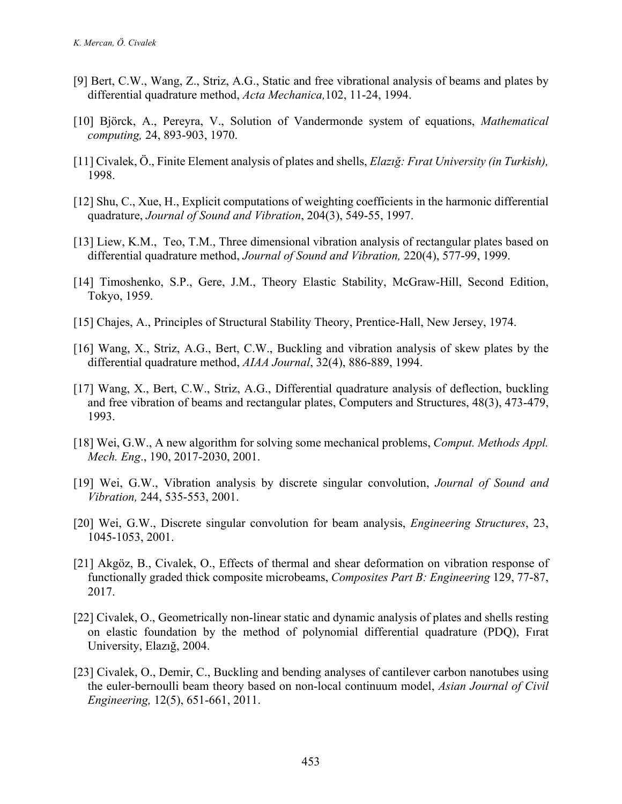- [9] Bert, C.W., Wang, Z., Striz, A.G., Static and free vibrational analysis of beams and plates by differential quadrature method, *Acta Mechanica,*102, 11-24, 1994.
- [10] Björck, A., Pereyra, V., Solution of Vandermonde system of equations, *Mathematical computing,* 24, 893-903, 1970.
- [11] Civalek, Ö., Finite Element analysis of plates and shells, *Elazığ: Fırat University (in Turkish),* 1998.
- [12] Shu, C., Xue, H., Explicit computations of weighting coefficients in the harmonic differential quadrature, *Journal of Sound and Vibration*, 204(3), 549-55, 1997.
- [13] Liew, K.M., Teo, T.M., Three dimensional vibration analysis of rectangular plates based on differential quadrature method, *Journal of Sound and Vibration,* 220(4), 577-99, 1999.
- [14] Timoshenko, S.P., Gere, J.M., Theory Elastic Stability, McGraw-Hill, Second Edition, Tokyo, 1959.
- [15] Chajes, A., Principles of Structural Stability Theory, Prentice-Hall, New Jersey, 1974.
- [16] Wang, X., Striz, A.G., Bert, C.W., Buckling and vibration analysis of skew plates by the differential quadrature method, *AIAA Journal*, 32(4), 886-889, 1994.
- [17] Wang, X., Bert, C.W., Striz, A.G., Differential quadrature analysis of deflection, buckling and free vibration of beams and rectangular plates, Computers and Structures, 48(3), 473-479, 1993.
- [18] Wei, G.W., A new algorithm for solving some mechanical problems, *Comput. Methods Appl. Mech. Eng*., 190, 2017-2030, 2001.
- [19] Wei, G.W., Vibration analysis by discrete singular convolution, *Journal of Sound and Vibration,* 244, 535-553, 2001.
- [20] Wei, G.W., Discrete singular convolution for beam analysis, *Engineering Structures*, 23, 1045-1053, 2001.
- [21] Akgöz, B., Civalek, O., Effects of thermal and shear deformation on vibration response of functionally graded thick composite microbeams, *Composites Part B: Engineering* 129, 77-87, 2017.
- [22] Civalek, O., Geometrically non-linear static and dynamic analysis of plates and shells resting on elastic foundation by the method of polynomial differential quadrature (PDQ), Fırat University, Elazığ, 2004.
- [23] Civalek, O., Demir, C., Buckling and bending analyses of cantilever carbon nanotubes using the euler-bernoulli beam theory based on non-local continuum model, *Asian Journal of Civil Engineering,* 12(5), 651-661, 2011.